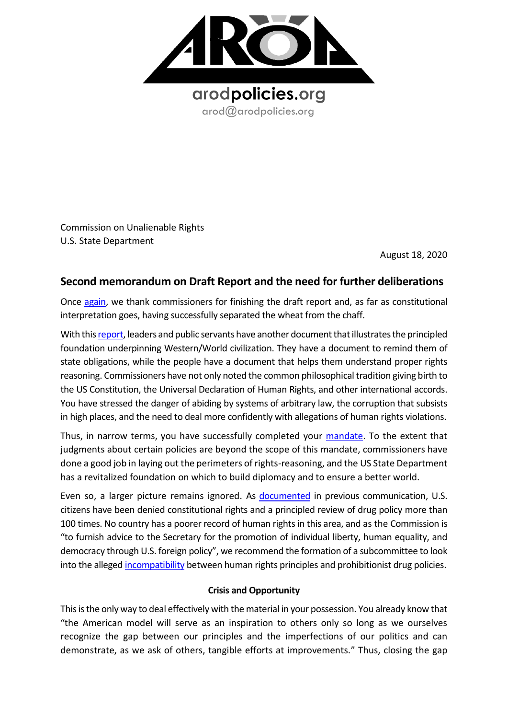

Commission on Unalienable Rights U.S. State Department

August 18, 2020

## **Second memorandum on Draft Report and the need for further deliberations**

Once [again,](https://8c75b10d-e0b1-4d25-99ed-609c80001c6c.filesusr.com/ugd/a479b9_fcbe8e6bb77c41428b0f09e7a45ff704.pdf) we thank commissioners for finishing the draft report and, as far as constitutional interpretation goes, having successfully separated the wheat from the chaff.

With this report, leaders and public servants have another document that illustrates the principled foundation underpinning Western/World civilization. They have a document to remind them of state obligations, while the people have a document that helps them understand proper rights reasoning. Commissioners have not only noted the common philosophical tradition giving birth to the US Constitution, the Universal Declaration of Human Rights, and other international accords. You have stressed the danger of abiding by systems of arbitrary law, the corruption that subsists in high places, and the need to deal more confidently with allegations of human rights violations.

Thus, in narrow terms, you have successfully completed your [mandate.](https://www.state.gov/charter-for-the-commission-on-unalienable-rights/) To the extent that judgments about certain policies are beyond the scope of this mandate, commissioners have done a good job in laying out the perimeters of rights-reasoning, and the US State Department has a revitalized foundation on which to build diplomacy and to ensure a better world.

Even so, a larger picture remains ignored. As [documented](https://8c75b10d-e0b1-4d25-99ed-609c80001c6c.filesusr.com/ugd/a479b9_27c6a15fa27745cc89d6280133087a0b.pdf) in previous communication, U.S. citizens have been denied constitutional rights and a principled review of drug policy more than 100 times. No country has a poorer record of human rights in this area, and as the Commission is "to furnish advice to the Secretary for the promotion of individual liberty, human equality, and democracy through U.S. foreign policy", we recommend the formation of a subcommittee to look into the allege[d incompatibility](https://knowmadinstitut.org/2019/07/the-prohibitionist-psychosis-and-its-constitutional-implications/) between human rights principles and prohibitionist drug policies.

## **Crisis and Opportunity**

This is the only way to deal effectively with the material in your possession. You already know that "the American model will serve as an inspiration to others only so long as we ourselves recognize the gap between our principles and the imperfections of our politics and can demonstrate, as we ask of others, tangible efforts at improvements." Thus, closing the gap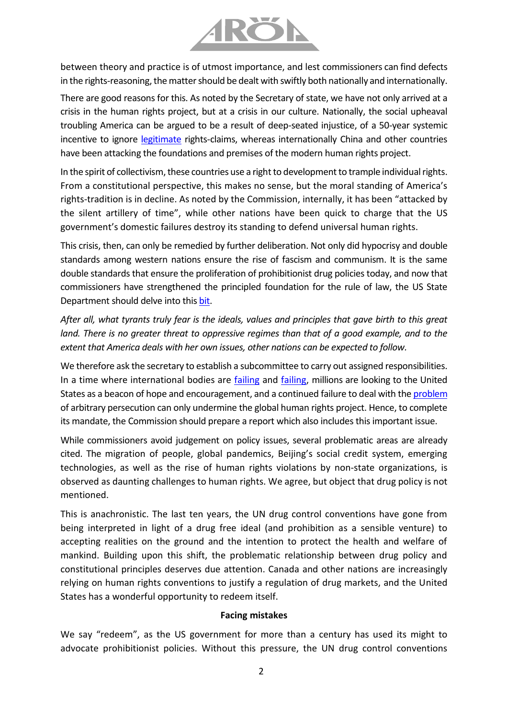

between theory and practice is of utmost importance, and lest commissioners can find defects in the rights-reasoning, the matter should be dealt with swiftly both nationally and internationally.

There are good reasons for this. As noted by the Secretary of state, we have not only arrived at a crisis in the human rights project, but at a crisis in our culture. Nationally, the social upheaval troubling America can be argued to be a result of deep-seated injustice, of a 50-year systemic incentive to ignore [legitimate](https://8c75b10d-e0b1-4d25-99ed-609c80001c6c.filesusr.com/ugd/a479b9_27c6a15fa27745cc89d6280133087a0b.pdf) rights-claims, whereas internationally China and other countries have been attacking the foundations and premises of the modern human rights project.

In the spirit of collectivism, these countries use a right to development to trample individual rights. From a constitutional perspective, this makes no sense, but the moral standing of America's rights-tradition is in decline. As noted by the Commission, internally, it has been "attacked by the silent artillery of time", while other nations have been quick to charge that the US government's domestic failures destroy its standing to defend universal human rights.

This crisis, then, can only be remedied by further deliberation. Not only did hypocrisy and double standards among western nations ensure the rise of fascism and communism. It is the same double standards that ensure the proliferation of prohibitionist drug policies today, and now that commissioners have strengthened the principled foundation for the rule of law, the US State Department should delve into this [bit.](https://8c75b10d-e0b1-4d25-99ed-609c80001c6c.filesusr.com/ugd/a479b9_9919d39084a6437c9d3ce526787aeb2d.pdf)

After all, what tyrants truly fear is the ideals, values and principles that gave birth to this great *land. There is no greater threat to oppressive regimes than that of a good example, and to the extent that America deals with her own issues, other nations can be expected to follow.*

We therefore ask the secretary to establish a subcommittee to carry out assigned responsibilities. In a time where international bodies are [failing](https://8c75b10d-e0b1-4d25-99ed-609c80001c6c.filesusr.com/ugd/a479b9_dcf552946b784c98af9331ab70c05c50.pdf) and [failing,](https://8c75b10d-e0b1-4d25-99ed-609c80001c6c.filesusr.com/ugd/a479b9_62645813ff3e43f0806752a0b7871456.pdf) millions are looking to the United States as a beacon of hope and encouragement, and a continued failure to deal with th[e problem](https://8c75b10d-e0b1-4d25-99ed-609c80001c6c.filesusr.com/ugd/a479b9_70bfd29de0a44c35a690a9038fe025b0.pdf) of arbitrary persecution can only undermine the global human rights project. Hence, to complete its mandate, the Commission should prepare a report which also includes this important issue.

While commissioners avoid judgement on policy issues, several problematic areas are already cited. The migration of people, global pandemics, Beijing's social credit system, emerging technologies, as well as the rise of human rights violations by non-state organizations, is observed as daunting challenges to human rights. We agree, but object that drug policy is not mentioned.

This is anachronistic. The last ten years, the UN drug control conventions have gone from being interpreted in light of a drug free ideal (and prohibition as a sensible venture) to accepting realities on the ground and the intention to protect the health and welfare of mankind. Building upon this shift, the problematic relationship between drug policy and constitutional principles deserves due attention. Canada and other nations are increasingly relying on human rights conventions to justify a regulation of drug markets, and the United States has a wonderful opportunity to redeem itself.

## **Facing mistakes**

We say "redeem", as the US government for more than a century has used its might to advocate prohibitionist policies. Without this pressure, the UN drug control conventions